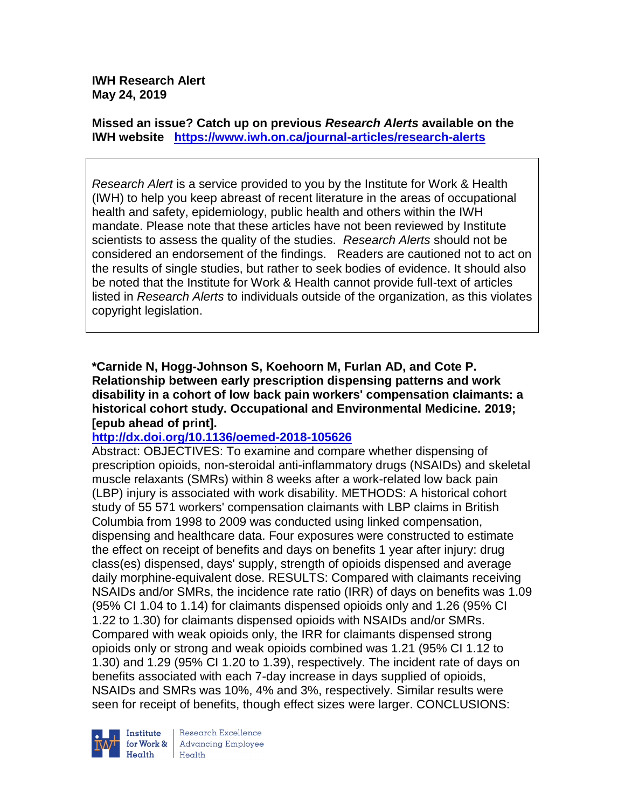**IWH Research Alert May 24, 2019**

**Missed an issue? Catch up on previous** *Research Alerts* **available on the [IWH website](http://www.iwh.on.ca/research-alerts) <https://www.iwh.on.ca/journal-articles/research-alerts>**

*Research Alert* is a service provided to you by the Institute for Work & Health (IWH) to help you keep abreast of recent literature in the areas of occupational health and safety, epidemiology, public health and others within the IWH mandate. Please note that these articles have not been reviewed by Institute scientists to assess the quality of the studies. *Research Alerts* should not be considered an endorsement of the findings. Readers are cautioned not to act on the results of single studies, but rather to seek bodies of evidence. It should also be noted that the Institute for Work & Health cannot provide full-text of articles listed in *Research Alerts* to individuals outside of the organization, as this violates copyright legislation.

**\*Carnide N, Hogg-Johnson S, Koehoorn M, Furlan AD, and Cote P. Relationship between early prescription dispensing patterns and work disability in a cohort of low back pain workers' compensation claimants: a historical cohort study. Occupational and Environmental Medicine. 2019; [epub ahead of print].**

#### **<http://dx.doi.org/10.1136/oemed-2018-105626>**

Abstract: OBJECTIVES: To examine and compare whether dispensing of prescription opioids, non-steroidal anti-inflammatory drugs (NSAIDs) and skeletal muscle relaxants (SMRs) within 8 weeks after a work-related low back pain (LBP) injury is associated with work disability. METHODS: A historical cohort study of 55 571 workers' compensation claimants with LBP claims in British Columbia from 1998 to 2009 was conducted using linked compensation, dispensing and healthcare data. Four exposures were constructed to estimate the effect on receipt of benefits and days on benefits 1 year after injury: drug class(es) dispensed, days' supply, strength of opioids dispensed and average daily morphine-equivalent dose. RESULTS: Compared with claimants receiving NSAIDs and/or SMRs, the incidence rate ratio (IRR) of days on benefits was 1.09 (95% CI 1.04 to 1.14) for claimants dispensed opioids only and 1.26 (95% CI 1.22 to 1.30) for claimants dispensed opioids with NSAIDs and/or SMRs. Compared with weak opioids only, the IRR for claimants dispensed strong opioids only or strong and weak opioids combined was 1.21 (95% CI 1.12 to 1.30) and 1.29 (95% CI 1.20 to 1.39), respectively. The incident rate of days on benefits associated with each 7-day increase in days supplied of opioids, NSAIDs and SMRs was 10%, 4% and 3%, respectively. Similar results were seen for receipt of benefits, though effect sizes were larger. CONCLUSIONS:



Research Excellence **Advancing Employee**  $H_{\text{each}}$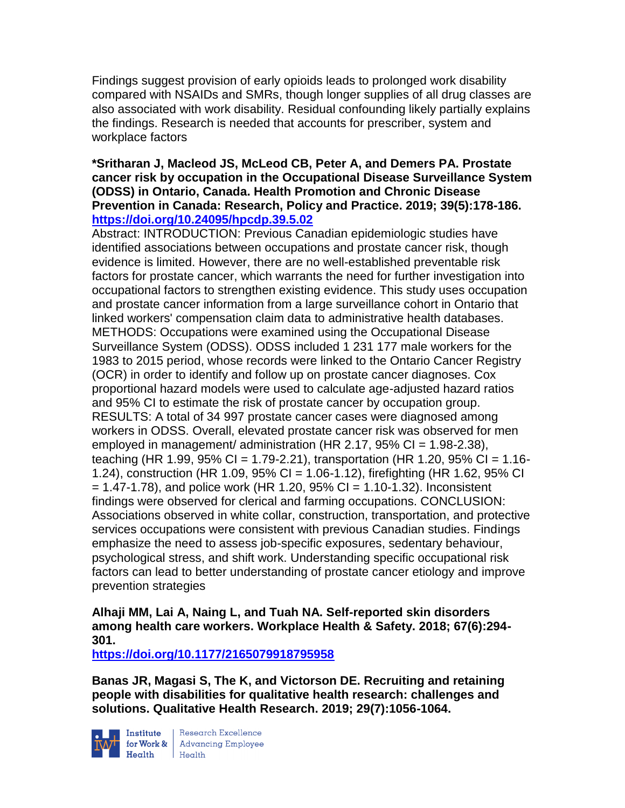Findings suggest provision of early opioids leads to prolonged work disability compared with NSAIDs and SMRs, though longer supplies of all drug classes are also associated with work disability. Residual confounding likely partially explains the findings. Research is needed that accounts for prescriber, system and workplace factors

#### **\*Sritharan J, Macleod JS, McLeod CB, Peter A, and Demers PA. Prostate cancer risk by occupation in the Occupational Disease Surveillance System (ODSS) in Ontario, Canada. Health Promotion and Chronic Disease Prevention in Canada: Research, Policy and Practice. 2019; 39(5):178-186. <https://doi.org/10.24095/hpcdp.39.5.02>**

Abstract: INTRODUCTION: Previous Canadian epidemiologic studies have identified associations between occupations and prostate cancer risk, though evidence is limited. However, there are no well-established preventable risk factors for prostate cancer, which warrants the need for further investigation into occupational factors to strengthen existing evidence. This study uses occupation and prostate cancer information from a large surveillance cohort in Ontario that linked workers' compensation claim data to administrative health databases. METHODS: Occupations were examined using the Occupational Disease Surveillance System (ODSS). ODSS included 1 231 177 male workers for the 1983 to 2015 period, whose records were linked to the Ontario Cancer Registry (OCR) in order to identify and follow up on prostate cancer diagnoses. Cox proportional hazard models were used to calculate age-adjusted hazard ratios and 95% CI to estimate the risk of prostate cancer by occupation group. RESULTS: A total of 34 997 prostate cancer cases were diagnosed among workers in ODSS. Overall, elevated prostate cancer risk was observed for men employed in management/ administration (HR 2.17,  $95\%$  CI = 1.98-2.38), teaching (HR 1.99, 95% CI = 1.79-2.21), transportation (HR 1.20, 95% CI = 1.16-1.24), construction (HR 1.09, 95% CI = 1.06-1.12), firefighting (HR 1.62, 95% CI  $= 1.47 - 1.78$ ), and police work (HR 1.20, 95% CI = 1.10-1.32). Inconsistent findings were observed for clerical and farming occupations. CONCLUSION: Associations observed in white collar, construction, transportation, and protective services occupations were consistent with previous Canadian studies. Findings emphasize the need to assess job-specific exposures, sedentary behaviour, psychological stress, and shift work. Understanding specific occupational risk factors can lead to better understanding of prostate cancer etiology and improve prevention strategies

#### **Alhaji MM, Lai A, Naing L, and Tuah NA. Self-reported skin disorders among health care workers. Workplace Health & Safety. 2018; 67(6):294- 301.**

**<https://doi.org/10.1177/2165079918795958>** 

**Banas JR, Magasi S, The K, and Victorson DE. Recruiting and retaining people with disabilities for qualitative health research: challenges and solutions. Qualitative Health Research. 2019; 29(7):1056-1064.** 



Institute Research Excellence<br>for Work & Advancing Employee<br>Health Health Health Health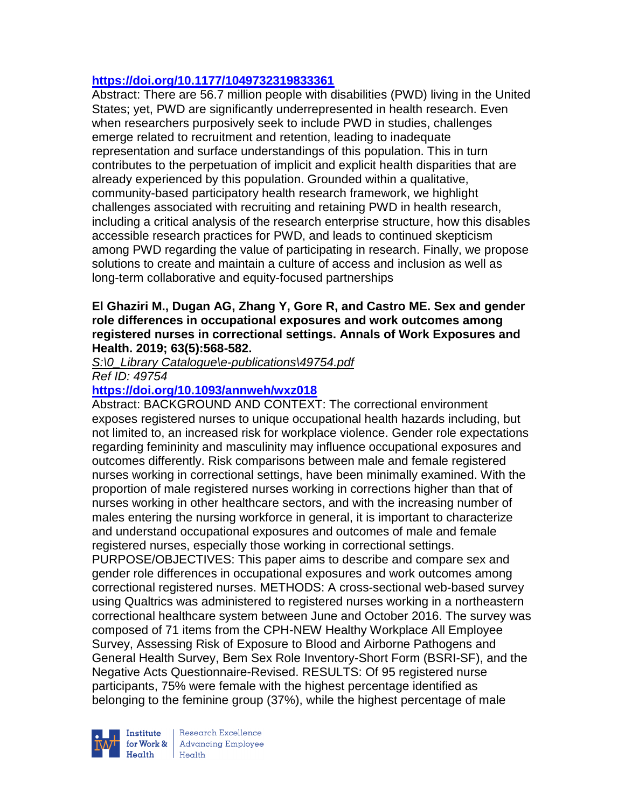# **<https://doi.org/10.1177/1049732319833361>**

Abstract: There are 56.7 million people with disabilities (PWD) living in the United States; yet, PWD are significantly underrepresented in health research. Even when researchers purposively seek to include PWD in studies, challenges emerge related to recruitment and retention, leading to inadequate representation and surface understandings of this population. This in turn contributes to the perpetuation of implicit and explicit health disparities that are already experienced by this population. Grounded within a qualitative, community-based participatory health research framework, we highlight challenges associated with recruiting and retaining PWD in health research, including a critical analysis of the research enterprise structure, how this disables accessible research practices for PWD, and leads to continued skepticism among PWD regarding the value of participating in research. Finally, we propose solutions to create and maintain a culture of access and inclusion as well as long-term collaborative and equity-focused partnerships

#### **El Ghaziri M., Dugan AG, Zhang Y, Gore R, and Castro ME. Sex and gender role differences in occupational exposures and work outcomes among registered nurses in correctional settings. Annals of Work Exposures and Health. 2019; 63(5):568-582.**

*S:\0\_Library Catalogue\e-publications\49754.pdf*

*Ref ID: 49754*

# **<https://doi.org/10.1093/annweh/wxz018>**

Abstract: BACKGROUND AND CONTEXT: The correctional environment exposes registered nurses to unique occupational health hazards including, but not limited to, an increased risk for workplace violence. Gender role expectations regarding femininity and masculinity may influence occupational exposures and outcomes differently. Risk comparisons between male and female registered nurses working in correctional settings, have been minimally examined. With the proportion of male registered nurses working in corrections higher than that of nurses working in other healthcare sectors, and with the increasing number of males entering the nursing workforce in general, it is important to characterize and understand occupational exposures and outcomes of male and female registered nurses, especially those working in correctional settings.

PURPOSE/OBJECTIVES: This paper aims to describe and compare sex and gender role differences in occupational exposures and work outcomes among correctional registered nurses. METHODS: A cross-sectional web-based survey using Qualtrics was administered to registered nurses working in a northeastern correctional healthcare system between June and October 2016. The survey was composed of 71 items from the CPH-NEW Healthy Workplace All Employee Survey, Assessing Risk of Exposure to Blood and Airborne Pathogens and General Health Survey, Bem Sex Role Inventory-Short Form (BSRI-SF), and the Negative Acts Questionnaire-Revised. RESULTS: Of 95 registered nurse participants, 75% were female with the highest percentage identified as belonging to the feminine group (37%), while the highest percentage of male



Institute Research Excellence<br>
for Work & Advancing Employee<br>
Health<br>
Health  $Heath$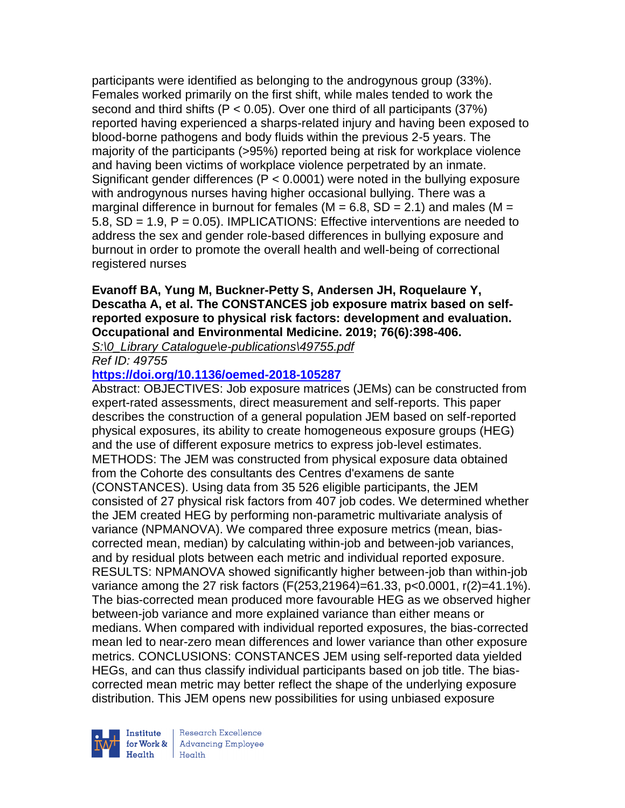participants were identified as belonging to the androgynous group (33%). Females worked primarily on the first shift, while males tended to work the second and third shifts ( $P < 0.05$ ). Over one third of all participants (37%) reported having experienced a sharps-related injury and having been exposed to blood-borne pathogens and body fluids within the previous 2-5 years. The majority of the participants (>95%) reported being at risk for workplace violence and having been victims of workplace violence perpetrated by an inmate. Significant gender differences (P < 0.0001) were noted in the bullying exposure with androgynous nurses having higher occasional bullying. There was a marginal difference in burnout for females ( $M = 6.8$ , SD = 2.1) and males ( $M =$ 5.8, SD = 1.9, P = 0.05). IMPLICATIONS: Effective interventions are needed to address the sex and gender role-based differences in bullying exposure and burnout in order to promote the overall health and well-being of correctional registered nurses

## **Evanoff BA, Yung M, Buckner-Petty S, Andersen JH, Roquelaure Y, Descatha A, et al. The CONSTANCES job exposure matrix based on selfreported exposure to physical risk factors: development and evaluation. Occupational and Environmental Medicine. 2019; 76(6):398-406.**

*S:\0\_Library Catalogue\e-publications\49755.pdf*

*Ref ID: 49755*

## **<https://doi.org/10.1136/oemed-2018-105287>**

Abstract: OBJECTIVES: Job exposure matrices (JEMs) can be constructed from expert-rated assessments, direct measurement and self-reports. This paper describes the construction of a general population JEM based on self-reported physical exposures, its ability to create homogeneous exposure groups (HEG) and the use of different exposure metrics to express job-level estimates. METHODS: The JEM was constructed from physical exposure data obtained from the Cohorte des consultants des Centres d'examens de sante (CONSTANCES). Using data from 35 526 eligible participants, the JEM consisted of 27 physical risk factors from 407 job codes. We determined whether the JEM created HEG by performing non-parametric multivariate analysis of variance (NPMANOVA). We compared three exposure metrics (mean, biascorrected mean, median) by calculating within-job and between-job variances, and by residual plots between each metric and individual reported exposure. RESULTS: NPMANOVA showed significantly higher between-job than within-job variance among the 27 risk factors (F(253,21964)=61.33, p<0.0001, r(2)=41.1%). The bias-corrected mean produced more favourable HEG as we observed higher between-job variance and more explained variance than either means or medians. When compared with individual reported exposures, the bias-corrected mean led to near-zero mean differences and lower variance than other exposure metrics. CONCLUSIONS: CONSTANCES JEM using self-reported data yielded HEGs, and can thus classify individual participants based on job title. The biascorrected mean metric may better reflect the shape of the underlying exposure distribution. This JEM opens new possibilities for using unbiased exposure

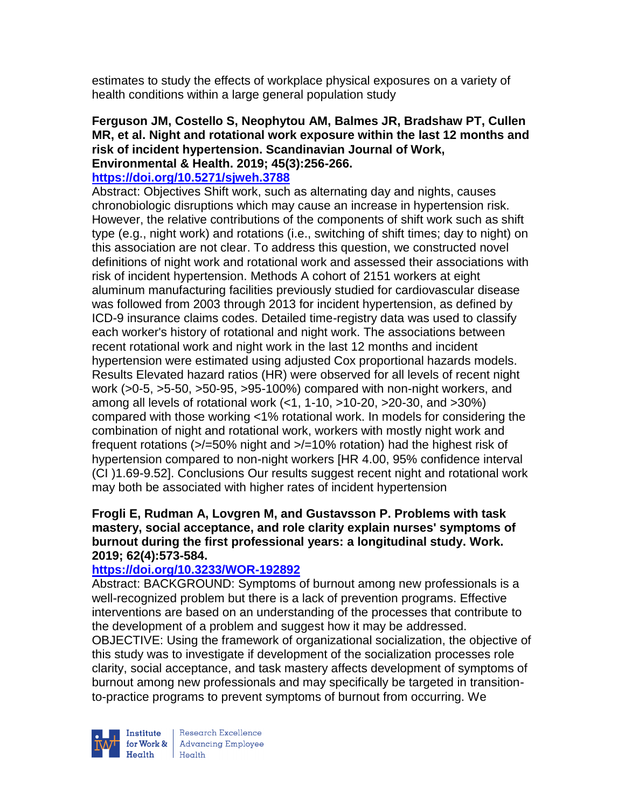estimates to study the effects of workplace physical exposures on a variety of health conditions within a large general population study

#### **Ferguson JM, Costello S, Neophytou AM, Balmes JR, Bradshaw PT, Cullen MR, et al. Night and rotational work exposure within the last 12 months and risk of incident hypertension. Scandinavian Journal of Work, Environmental & Health. 2019; 45(3):256-266.**

# **<https://doi.org/10.5271/sjweh.3788>**

Abstract: Objectives Shift work, such as alternating day and nights, causes chronobiologic disruptions which may cause an increase in hypertension risk. However, the relative contributions of the components of shift work such as shift type (e.g., night work) and rotations (i.e., switching of shift times; day to night) on this association are not clear. To address this question, we constructed novel definitions of night work and rotational work and assessed their associations with risk of incident hypertension. Methods A cohort of 2151 workers at eight aluminum manufacturing facilities previously studied for cardiovascular disease was followed from 2003 through 2013 for incident hypertension, as defined by ICD-9 insurance claims codes. Detailed time-registry data was used to classify each worker's history of rotational and night work. The associations between recent rotational work and night work in the last 12 months and incident hypertension were estimated using adjusted Cox proportional hazards models. Results Elevated hazard ratios (HR) were observed for all levels of recent night work (>0-5, >5-50, >50-95, >95-100%) compared with non-night workers, and among all levels of rotational work (<1, 1-10, >10-20, >20-30, and >30%) compared with those working <1% rotational work. In models for considering the combination of night and rotational work, workers with mostly night work and frequent rotations (>/=50% night and >/=10% rotation) had the highest risk of hypertension compared to non-night workers [HR 4.00, 95% confidence interval (CI )1.69-9.52]. Conclusions Our results suggest recent night and rotational work may both be associated with higher rates of incident hypertension

#### **Frogli E, Rudman A, Lovgren M, and Gustavsson P. Problems with task mastery, social acceptance, and role clarity explain nurses' symptoms of burnout during the first professional years: a longitudinal study. Work. 2019; 62(4):573-584.**

#### **<https://doi.org/10.3233/WOR-192892>**

Abstract: BACKGROUND: Symptoms of burnout among new professionals is a well-recognized problem but there is a lack of prevention programs. Effective interventions are based on an understanding of the processes that contribute to the development of a problem and suggest how it may be addressed. OBJECTIVE: Using the framework of organizational socialization, the objective of this study was to investigate if development of the socialization processes role clarity, social acceptance, and task mastery affects development of symptoms of burnout among new professionals and may specifically be targeted in transitionto-practice programs to prevent symptoms of burnout from occurring. We



Research Excellence for Work & | Advancing Employee Health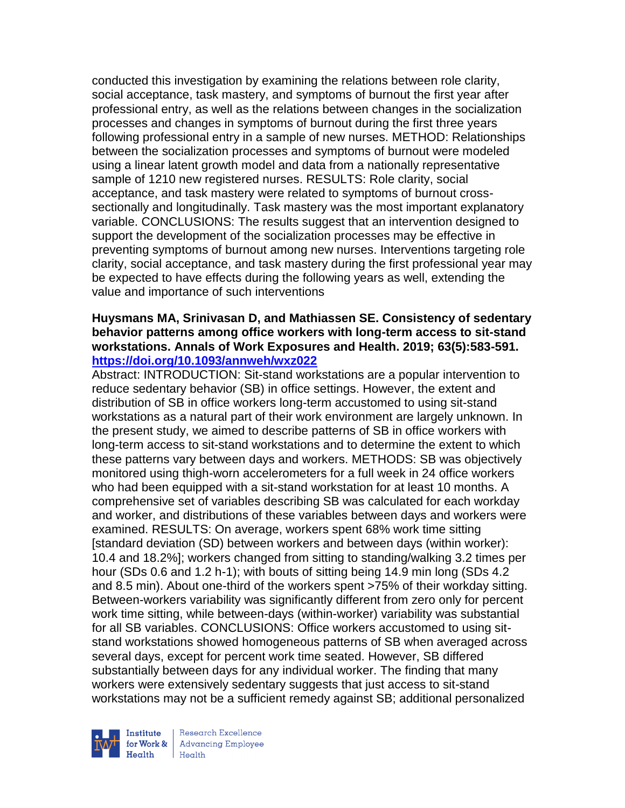conducted this investigation by examining the relations between role clarity, social acceptance, task mastery, and symptoms of burnout the first year after professional entry, as well as the relations between changes in the socialization processes and changes in symptoms of burnout during the first three years following professional entry in a sample of new nurses. METHOD: Relationships between the socialization processes and symptoms of burnout were modeled using a linear latent growth model and data from a nationally representative sample of 1210 new registered nurses. RESULTS: Role clarity, social acceptance, and task mastery were related to symptoms of burnout crosssectionally and longitudinally. Task mastery was the most important explanatory variable. CONCLUSIONS: The results suggest that an intervention designed to support the development of the socialization processes may be effective in preventing symptoms of burnout among new nurses. Interventions targeting role clarity, social acceptance, and task mastery during the first professional year may be expected to have effects during the following years as well, extending the value and importance of such interventions

#### **Huysmans MA, Srinivasan D, and Mathiassen SE. Consistency of sedentary behavior patterns among office workers with long-term access to sit-stand workstations. Annals of Work Exposures and Health. 2019; 63(5):583-591. <https://doi.org/10.1093/annweh/wxz022>**

Abstract: INTRODUCTION: Sit-stand workstations are a popular intervention to reduce sedentary behavior (SB) in office settings. However, the extent and distribution of SB in office workers long-term accustomed to using sit-stand workstations as a natural part of their work environment are largely unknown. In the present study, we aimed to describe patterns of SB in office workers with long-term access to sit-stand workstations and to determine the extent to which these patterns vary between days and workers. METHODS: SB was objectively monitored using thigh-worn accelerometers for a full week in 24 office workers who had been equipped with a sit-stand workstation for at least 10 months. A comprehensive set of variables describing SB was calculated for each workday and worker, and distributions of these variables between days and workers were examined. RESULTS: On average, workers spent 68% work time sitting [standard deviation (SD) between workers and between days (within worker): 10.4 and 18.2%]; workers changed from sitting to standing/walking 3.2 times per hour (SDs 0.6 and 1.2 h-1); with bouts of sitting being 14.9 min long (SDs 4.2 and 8.5 min). About one-third of the workers spent >75% of their workday sitting. Between-workers variability was significantly different from zero only for percent work time sitting, while between-days (within-worker) variability was substantial for all SB variables. CONCLUSIONS: Office workers accustomed to using sitstand workstations showed homogeneous patterns of SB when averaged across several days, except for percent work time seated. However, SB differed substantially between days for any individual worker. The finding that many workers were extensively sedentary suggests that just access to sit-stand workstations may not be a sufficient remedy against SB; additional personalized



Research Excellence for Work & | Advancing Employee Health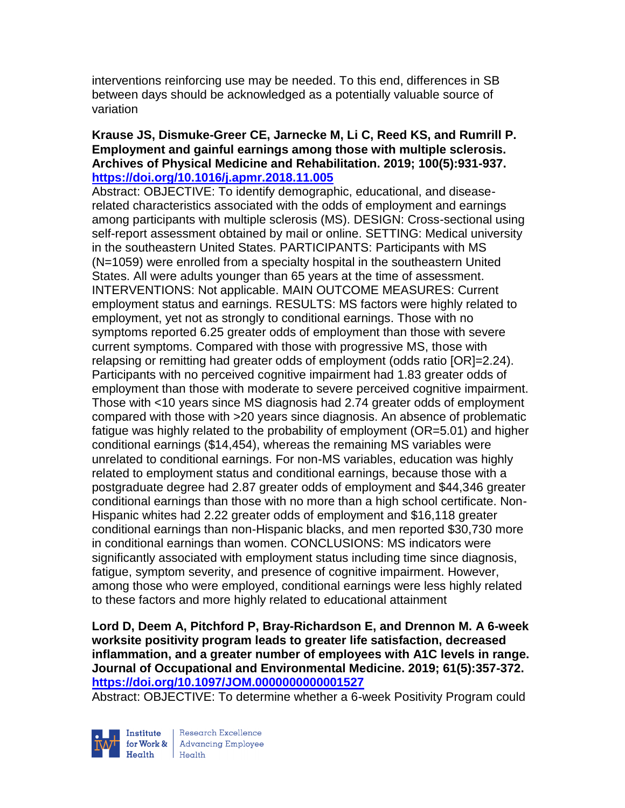interventions reinforcing use may be needed. To this end, differences in SB between days should be acknowledged as a potentially valuable source of variation

#### **Krause JS, Dismuke-Greer CE, Jarnecke M, Li C, Reed KS, and Rumrill P. Employment and gainful earnings among those with multiple sclerosis. Archives of Physical Medicine and Rehabilitation. 2019; 100(5):931-937. <https://doi.org/10.1016/j.apmr.2018.11.005>**

Abstract: OBJECTIVE: To identify demographic, educational, and diseaserelated characteristics associated with the odds of employment and earnings among participants with multiple sclerosis (MS). DESIGN: Cross-sectional using self-report assessment obtained by mail or online. SETTING: Medical university in the southeastern United States. PARTICIPANTS: Participants with MS (N=1059) were enrolled from a specialty hospital in the southeastern United States. All were adults younger than 65 years at the time of assessment. INTERVENTIONS: Not applicable. MAIN OUTCOME MEASURES: Current employment status and earnings. RESULTS: MS factors were highly related to employment, yet not as strongly to conditional earnings. Those with no symptoms reported 6.25 greater odds of employment than those with severe current symptoms. Compared with those with progressive MS, those with relapsing or remitting had greater odds of employment (odds ratio [OR]=2.24). Participants with no perceived cognitive impairment had 1.83 greater odds of employment than those with moderate to severe perceived cognitive impairment. Those with <10 years since MS diagnosis had 2.74 greater odds of employment compared with those with >20 years since diagnosis. An absence of problematic fatigue was highly related to the probability of employment (OR=5.01) and higher conditional earnings (\$14,454), whereas the remaining MS variables were unrelated to conditional earnings. For non-MS variables, education was highly related to employment status and conditional earnings, because those with a postgraduate degree had 2.87 greater odds of employment and \$44,346 greater conditional earnings than those with no more than a high school certificate. Non-Hispanic whites had 2.22 greater odds of employment and \$16,118 greater conditional earnings than non-Hispanic blacks, and men reported \$30,730 more in conditional earnings than women. CONCLUSIONS: MS indicators were significantly associated with employment status including time since diagnosis, fatigue, symptom severity, and presence of cognitive impairment. However, among those who were employed, conditional earnings were less highly related to these factors and more highly related to educational attainment

**Lord D, Deem A, Pitchford P, Bray-Richardson E, and Drennon M. A 6-week worksite positivity program leads to greater life satisfaction, decreased inflammation, and a greater number of employees with A1C levels in range. Journal of Occupational and Environmental Medicine. 2019; 61(5):357-372. <https://doi.org/10.1097/JOM.0000000000001527>** 

Abstract: OBJECTIVE: To determine whether a 6-week Positivity Program could



Research Excellence for Work & | Advancing Employee  $Heath$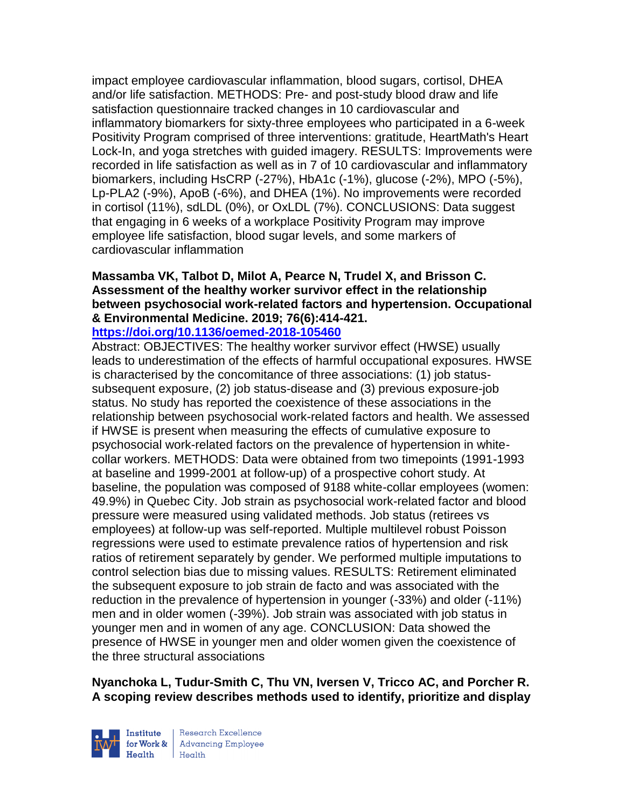impact employee cardiovascular inflammation, blood sugars, cortisol, DHEA and/or life satisfaction. METHODS: Pre- and post-study blood draw and life satisfaction questionnaire tracked changes in 10 cardiovascular and inflammatory biomarkers for sixty-three employees who participated in a 6-week Positivity Program comprised of three interventions: gratitude, HeartMath's Heart Lock-In, and yoga stretches with guided imagery. RESULTS: Improvements were recorded in life satisfaction as well as in 7 of 10 cardiovascular and inflammatory biomarkers, including HsCRP (-27%), HbA1c (-1%), glucose (-2%), MPO (-5%), Lp-PLA2 (-9%), ApoB (-6%), and DHEA (1%). No improvements were recorded in cortisol (11%), sdLDL (0%), or OxLDL (7%). CONCLUSIONS: Data suggest that engaging in 6 weeks of a workplace Positivity Program may improve employee life satisfaction, blood sugar levels, and some markers of cardiovascular inflammation

# **Massamba VK, Talbot D, Milot A, Pearce N, Trudel X, and Brisson C. Assessment of the healthy worker survivor effect in the relationship between psychosocial work-related factors and hypertension. Occupational & Environmental Medicine. 2019; 76(6):414-421.**

**<https://doi.org/10.1136/oemed-2018-105460>** 

Abstract: OBJECTIVES: The healthy worker survivor effect (HWSE) usually leads to underestimation of the effects of harmful occupational exposures. HWSE is characterised by the concomitance of three associations: (1) job statussubsequent exposure, (2) job status-disease and (3) previous exposure-job status. No study has reported the coexistence of these associations in the relationship between psychosocial work-related factors and health. We assessed if HWSE is present when measuring the effects of cumulative exposure to psychosocial work-related factors on the prevalence of hypertension in whitecollar workers. METHODS: Data were obtained from two timepoints (1991-1993 at baseline and 1999-2001 at follow-up) of a prospective cohort study. At baseline, the population was composed of 9188 white-collar employees (women: 49.9%) in Quebec City. Job strain as psychosocial work-related factor and blood pressure were measured using validated methods. Job status (retirees vs employees) at follow-up was self-reported. Multiple multilevel robust Poisson regressions were used to estimate prevalence ratios of hypertension and risk ratios of retirement separately by gender. We performed multiple imputations to control selection bias due to missing values. RESULTS: Retirement eliminated the subsequent exposure to job strain de facto and was associated with the reduction in the prevalence of hypertension in younger (-33%) and older (-11%) men and in older women (-39%). Job strain was associated with job status in younger men and in women of any age. CONCLUSION: Data showed the presence of HWSE in younger men and older women given the coexistence of the three structural associations

**Nyanchoka L, Tudur-Smith C, Thu VN, Iversen V, Tricco AC, and Porcher R. A scoping review describes methods used to identify, prioritize and display** 



Research Excellence  $H_{\text{eath}}$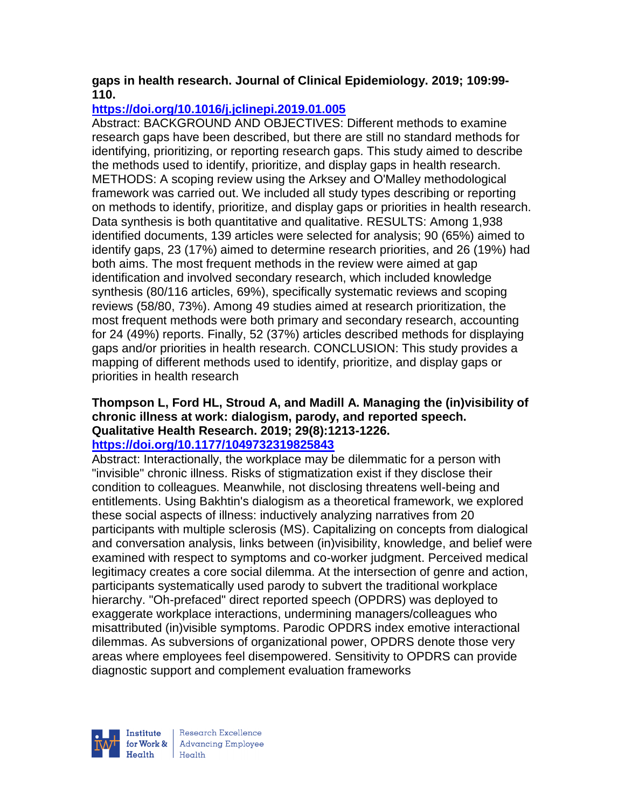## **gaps in health research. Journal of Clinical Epidemiology. 2019; 109:99- 110.**

# **<https://doi.org/10.1016/j.jclinepi.2019.01.005>**

Abstract: BACKGROUND AND OBJECTIVES: Different methods to examine research gaps have been described, but there are still no standard methods for identifying, prioritizing, or reporting research gaps. This study aimed to describe the methods used to identify, prioritize, and display gaps in health research. METHODS: A scoping review using the Arksey and O'Malley methodological framework was carried out. We included all study types describing or reporting on methods to identify, prioritize, and display gaps or priorities in health research. Data synthesis is both quantitative and qualitative. RESULTS: Among 1,938 identified documents, 139 articles were selected for analysis; 90 (65%) aimed to identify gaps, 23 (17%) aimed to determine research priorities, and 26 (19%) had both aims. The most frequent methods in the review were aimed at gap identification and involved secondary research, which included knowledge synthesis (80/116 articles, 69%), specifically systematic reviews and scoping reviews (58/80, 73%). Among 49 studies aimed at research prioritization, the most frequent methods were both primary and secondary research, accounting for 24 (49%) reports. Finally, 52 (37%) articles described methods for displaying gaps and/or priorities in health research. CONCLUSION: This study provides a mapping of different methods used to identify, prioritize, and display gaps or priorities in health research

# **Thompson L, Ford HL, Stroud A, and Madill A. Managing the (in)visibility of chronic illness at work: dialogism, parody, and reported speech. Qualitative Health Research. 2019; 29(8):1213-1226.**

# **<https://doi.org/10.1177/1049732319825843>**

Abstract: Interactionally, the workplace may be dilemmatic for a person with "invisible" chronic illness. Risks of stigmatization exist if they disclose their condition to colleagues. Meanwhile, not disclosing threatens well-being and entitlements. Using Bakhtin's dialogism as a theoretical framework, we explored these social aspects of illness: inductively analyzing narratives from 20 participants with multiple sclerosis (MS). Capitalizing on concepts from dialogical and conversation analysis, links between (in)visibility, knowledge, and belief were examined with respect to symptoms and co-worker judgment. Perceived medical legitimacy creates a core social dilemma. At the intersection of genre and action, participants systematically used parody to subvert the traditional workplace hierarchy. "Oh-prefaced" direct reported speech (OPDRS) was deployed to exaggerate workplace interactions, undermining managers/colleagues who misattributed (in)visible symptoms. Parodic OPDRS index emotive interactional dilemmas. As subversions of organizational power, OPDRS denote those very areas where employees feel disempowered. Sensitivity to OPDRS can provide diagnostic support and complement evaluation frameworks



Research Excellence for Work & | Advancing Employee Health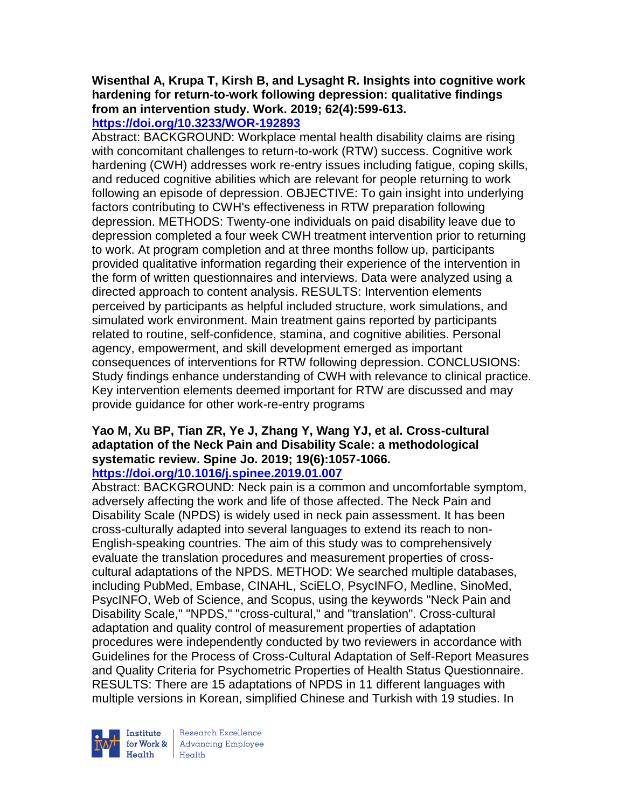#### **Wisenthal A, Krupa T, Kirsh B, and Lysaght R. Insights into cognitive work hardening for return-to-work following depression: qualitative findings from an intervention study. Work. 2019; 62(4):599-613. <https://doi.org/10.3233/WOR-192893>**

Abstract: BACKGROUND: Workplace mental health disability claims are rising with concomitant challenges to return-to-work (RTW) success. Cognitive work hardening (CWH) addresses work re-entry issues including fatigue, coping skills, and reduced cognitive abilities which are relevant for people returning to work following an episode of depression. OBJECTIVE: To gain insight into underlying factors contributing to CWH's effectiveness in RTW preparation following depression. METHODS: Twenty-one individuals on paid disability leave due to depression completed a four week CWH treatment intervention prior to returning to work. At program completion and at three months follow up, participants provided qualitative information regarding their experience of the intervention in the form of written questionnaires and interviews. Data were analyzed using a directed approach to content analysis. RESULTS: Intervention elements perceived by participants as helpful included structure, work simulations, and simulated work environment. Main treatment gains reported by participants related to routine, self-confidence, stamina, and cognitive abilities. Personal agency, empowerment, and skill development emerged as important consequences of interventions for RTW following depression. CONCLUSIONS: Study findings enhance understanding of CWH with relevance to clinical practice. Key intervention elements deemed important for RTW are discussed and may provide guidance for other work-re-entry programs

#### **Yao M, Xu BP, Tian ZR, Ye J, Zhang Y, Wang YJ, et al. Cross-cultural adaptation of the Neck Pain and Disability Scale: a methodological systematic review. Spine Jo. 2019; 19(6):1057-1066. <https://doi.org/10.1016/j.spinee.2019.01.007>**

Abstract: BACKGROUND: Neck pain is a common and uncomfortable symptom, adversely affecting the work and life of those affected. The Neck Pain and Disability Scale (NPDS) is widely used in neck pain assessment. It has been cross-culturally adapted into several languages to extend its reach to non-English-speaking countries. The aim of this study was to comprehensively evaluate the translation procedures and measurement properties of crosscultural adaptations of the NPDS. METHOD: We searched multiple databases, including PubMed, Embase, CINAHL, SciELO, PsycINFO, Medline, SinoMed, PsycINFO, Web of Science, and Scopus, using the keywords "Neck Pain and Disability Scale," "NPDS," "cross-cultural," and "translation". Cross-cultural adaptation and quality control of measurement properties of adaptation procedures were independently conducted by two reviewers in accordance with Guidelines for the Process of Cross-Cultural Adaptation of Self-Report Measures and Quality Criteria for Psychometric Properties of Health Status Questionnaire. RESULTS: There are 15 adaptations of NPDS in 11 different languages with multiple versions in Korean, simplified Chinese and Turkish with 19 studies. In



Research Excellence Institute Research Excellence<br>
for Work & Advancing Employee<br>
Health Health Health